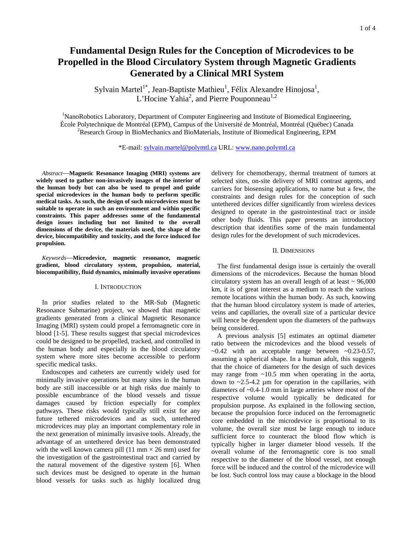# **Fundamental Design Rules for the Conception of Microdevices to be Propelled in the Blood Circulatory System through Magnetic Gradients Generated by a Clinical MRI System**

Sylvain Martel<sup>1\*</sup>, Jean-Baptiste Mathieu<sup>1</sup>, Félix Alexandre Hinojosa<sup>1</sup>, L'Hocine Yahia<sup>2</sup>, and Pierre Pouponneau<sup>1,2</sup>

<sup>1</sup>NanoRobotics Laboratory, Department of Computer Engineering and Institute of Biomedical Engineering, École Polytechnique de Montréal (EPM), Campus of the Université de Montréal, Montréal (Québec) Canada 2 <sup>2</sup>Research Group in BioMechanics and BioMaterials, Institute of Biomedical Engineering, EPM

\*E-mail: sylvain.martel@polymtl.ca URL: www.nano.polymtl.ca

 *Abstract*—**Magnetic Resonance Imaging (MRI) systems are widely used to gather non-invasively images of the interior of the human body but can also be used to propel and guide special microdevices in the human body to perform specific medical tasks. As such, the design of such microdevices must be suitable to operate in such an environment and within specific constraints. This paper addresses some of the fundamental design issues including but not limited to the overall dimensions of the device, the materials used, the shape of the device, biocompatibility and toxicity, and the force induced for propulsion.** 

 *Keywords*—**Microdevice, magnetic resonance, magnetic gradient, blood circulatory system, propulsion, material, biocompatibility, fluid dynamics, minimally invasive operations** 

#### I. INTRODUCTION

 In prior studies related to the MR-Sub (Magnetic Resonance Submarine) project, we showed that magnetic gradients generated from a clinical Magnetic Resonance Imaging (MRI) system could propel a ferromagnetic core in blood [1-5]. These results suggest that special microdevices could be designed to be propelled, tracked, and controlled in the human body and especially in the blood circulatory system where more sites become accessible to perform specific medical tasks.

 Endoscopes and catheters are currently widely used for minimally invasive operations but many sites in the human body are still inaccessible or at high risks due mainly to possible encumbrance of the blood vessels and tissue damages caused by friction especially for complex pathways. These risks would typically still exist for any future tethered microdevices and as such, untethered microdevices may play an important complementary role in the next generation of minimally invasive tools. Already, the advantage of an untethered device has been demonstrated with the well known camera pill (11 mm  $\times$  26 mm) used for the investigation of the gastrointestinal tract and carried by the natural movement of the digestive system [6]. When such devices must be designed to operate in the human blood vessels for tasks such as highly localized drug delivery for chemotherapy, thermal treatment of tumors at selected sites, on-site delivery of MRI contrast agents, and carriers for biosensing applications, to name but a few, the constraints and design rules for the conception of such untethered devices differ significantly from wireless devices designed to operate in the gastrointestinal tract or inside other body fluids. This paper presents an introductory description that identifies some of the main fundamental design rules for the development of such microdevices.

## II. DIMENSIONS

 The first fundamental design issue is certainly the overall dimensions of the microdevices. Because the human blood circulatory system has an overall length of at least  $\sim$  96,000 km, it is of great interest as a medium to reach the various remote locations within the human body. As such, knowing that the human blood circulatory system is made of arteries, veins and capillaries, the overall size of a particular device will hence be dependent upon the diameters of the pathways being considered.

 A previous analysis [5] estimates an optimal diameter ratio between the microdevices and the blood vessels of  $\sim$ 0.42 with an acceptable range between  $\sim$ 0.23-0.57, assuming a spherical shape. In a human adult, this suggests that the choice of diameters for the design of such devices may range from  $\sim 10.5$  mm when operating in the aorta, down to  $\sim$ 2.5-4.2 µm for operation in the capillaries, with diameters of ~0.4-1.0 mm in large arteries where most of the respective volume would typically be dedicated for propulsion purpose. As explained in the following section, because the propulsion force induced on the ferromagnetic core embedded in the microdevice is proportional to its volume, the overall size must be large enough to induce sufficient force to counteract the blood flow which is typically higher in larger diameter blood vessels. If the overall volume of the ferromagnetic core is too small respective to the diameter of the blood vessel, not enough force will be induced and the control of the microdevice will be lost. Such control loss may cause a blockage in the blood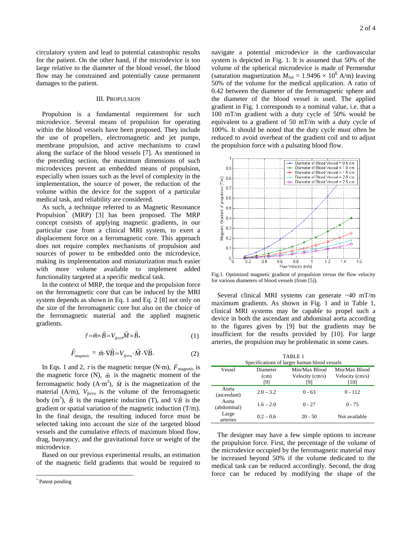circulatory system and lead to potential catastrophic results for the patient. On the other hand, if the microdevice is too large relative to the diameter of the blood vessel, the blood flow may be constrained and potentially cause permanent damages to the patient.

### III. PROPULSION

 Propulsion is a fundamental requirement for such microdevice. Several means of propulsion for operating within the blood vessels have been proposed. They include the use of propellers, electromagnetic and jet pumps, membrane propulsion, and active mechanisms to crawl along the surface of the blood vessels [7]. As mentioned in the preceding section, the maximum dimensions of such microdevices prevent an embedded means of propulsion, especially when issues such as the level of complexity in the implementation, the source of power, the reduction of the volume within the device for the support of a particular medical task, and reliability are considered.

 As such, a technique referred to as Magnetic Resonance Propulsion\* (MRP) [3] has been proposed. The MRP concept consists of applying magnetic gradients, in our particular case from a clinical MRI system, to exert a displacement force on a ferromagnetic core. This approach does not require complex mechanisms of propulsion and sources of power to be embedded onto the microdevice, making its implementation and miniaturization much easier with more volume available to implement added functionality targeted at a specific medical task.

 In the context of MRP, the torque and the propulsion force on the ferromagnetic core that can be induced by the MRI system depends as shown in Eq. 1 and Eq. 2 [8] not only on the size of the ferromagnetic core but also on the choice of the ferromagnetic material and the applied magnetic gradients.

$$
\vec{\tau} = \vec{m} \times \vec{B} = V_{\text{ferro}} \vec{M} \times \vec{B},\tag{1}
$$

$$
\vec{F}_{magnetic} = \vec{m} \cdot \nabla \vec{B} = V_{ferro} \cdot \vec{M} \cdot \nabla \vec{B}.
$$
 (2)

In Eqs. 1 and 2,  $\tau$  is the magnetic torque (N·m),  $\vec{F}_{\text{magnetic}}$  is the magnetic force  $(N)$ ,  $\vec{m}$  is the magnetic moment of the ferromagnetic body  $(A \cdot m^2)$ ,  $\vec{M}$  is the magnetization of the material (A/m),  $V_{ferro}$  is the volume of the ferromagnetic body (m<sup>3</sup>),  $\vec{B}$  is the magnetic induction (T), and  $\nabla \vec{B}$  is the gradient or spatial variation of the magnetic induction (T/m). In the final design, the resulting induced force must be selected taking into account the size of the targeted blood vessels and the cumulative effects of maximum blood flow, drag, buoyancy, and the gravitational force or weight of the microdevice.

Based on our previous experimental results, an estimation of the magnetic field gradients that would be required to

l

navigate a potential microdevice in the cardiovascular system is depicted in Fig. 1. It is assumed that 50% of the volume of the spherical microdevice is made of Permendur (saturation magnetization  $M_{Sat} = 1.9496 \times 10^6$  A/m) leaving 50% of the volume for the medical application. A ratio of 0.42 between the diameter of the ferromagnetic sphere and the diameter of the blood vessel is used. The applied gradient in Fig. 1 corresponds to a nominal value, i.e. that a 100 mT/m gradient with a duty cycle of 50% would be equivalent to a gradient of 50 mT/m with a duty cycle of 100%. It should be noted that the duty cycle must often be reduced to avoid overheat of the gradient coil and to adjust the propulsion force with a pulsating blood flow.



Fig.1. Optimized magnetic gradient of propulsion versus the flow velocity for various diameters of blood vessels (from [5]).

 Several clinical MRI systems can generate ~40 mT/m maximum gradients. As shown in Fig. 1 and in Table 1, clinical MRI systems may be capable to propel such a device in both the ascendant and abdominal aorta according to the figures given by [9] but the gradients may be insufficient for the results provided by [10]. For large arteries, the propulsion may be problematic in some cases.

| TABLE <sub>1</sub><br>Specifications of larger human blood vessels |                         |                                         |                                          |  |
|--------------------------------------------------------------------|-------------------------|-----------------------------------------|------------------------------------------|--|
| Vessel                                                             | Diameter<br>(cm)<br>[9] | Min/Max Blood<br>Velocity (cm/s)<br>[9] | Min/Max Blood<br>Velocity (cm/s)<br>[10] |  |
| Aorta<br>(ascendant)                                               | $2.0 - 3.2$             | $0 - 63$                                | $0 - 112$                                |  |
| Aorta<br>(abdominal)                                               | $1.6 - 2.0$             | $0 - 27$                                | $0 - 75$                                 |  |
| Large<br>arteries                                                  | $0.2 - 0.6$             | $20 - 50$                               | Not available                            |  |

 The designer may have a few simple options to increase the propulsion force. First, the percentage of the volume of the microdevice occupied by the ferromagnetic material may be increased beyond 50% if the volume dedicated to the medical task can be reduced accordingly. Second, the drag force can be reduced by modifying the shape of the

<sup>\*</sup> Patent pending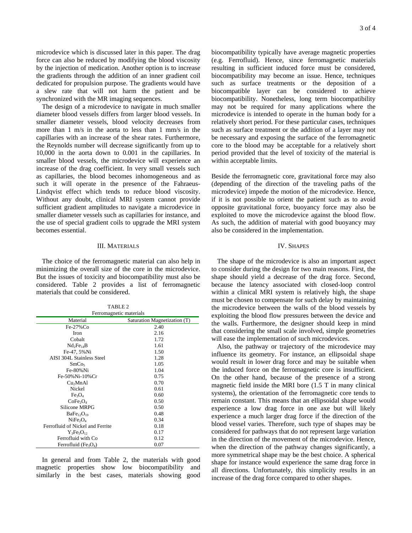microdevice which is discussed later in this paper. The drag force can also be reduced by modifying the blood viscosity by the injection of medication. Another option is to increase the gradients through the addition of an inner gradient coil dedicated for propulsion purpose. The gradients would have a slew rate that will not harm the patient and be synchronized with the MR imaging sequences.

 The design of a microdevice to navigate in much smaller diameter blood vessels differs from larger blood vessels. In smaller diameter vessels, blood velocity decreases from more than 1 m/s in the aorta to less than 1 mm/s in the capillaries with an increase of the shear rates. Furthermore, the Reynolds number will decrease significantly from up to 10,000 in the aorta down to 0.001 in the capillaries. In smaller blood vessels, the microdevice will experience an increase of the drag coefficient. In very small vessels such as capillaries, the blood becomes inhomogeneous and as such it will operate in the presence of the Fahraeus-Lindqvist effect which tends to reduce blood viscosity. Without any doubt, clinical MRI system cannot provide sufficient gradient amplitudes to navigate a microdevice in smaller diameter vessels such as capillaries for instance, and the use of special gradient coils to upgrade the MRI system becomes essential.

#### III. MATERIALS

 The choice of the ferromagnetic material can also help in minimizing the overall size of the core in the microdevice. But the issues of toxicity and biocompatibility must also be considered. Table 2 provides a list of ferromagnetic materials that could be considered.

| TABLE <sub>2</sub>                           |                              |  |  |  |
|----------------------------------------------|------------------------------|--|--|--|
| Ferromagnetic materials                      |                              |  |  |  |
| Material                                     | Saturation Magnetization (T) |  |  |  |
| Fe-27%Co                                     | 2.40                         |  |  |  |
| Iron                                         | 2.16                         |  |  |  |
| Cobalt                                       | 1.72                         |  |  |  |
| Nd <sub>2</sub> Fe <sub>14</sub> B           | 1.61                         |  |  |  |
| Fe-47, 5%Ni                                  | 1.50                         |  |  |  |
| <b>AISI 304L Stainless Steel</b>             | 1.28                         |  |  |  |
| SmCo <sub>5</sub>                            | 1.05                         |  |  |  |
| Fe-80%Ni                                     | 1.04                         |  |  |  |
| Fe-50% Ni-10% Cr                             | 0.75                         |  |  |  |
| Cu <sub>2</sub> MnAl                         | 0.70                         |  |  |  |
| Nickel                                       | 0.61                         |  |  |  |
| Fe <sub>3</sub> O <sub>4</sub>               | 0.60                         |  |  |  |
| CoFe <sub>2</sub> O <sub>4</sub>             | 0.50                         |  |  |  |
| Silicone MRPG                                | 0.50                         |  |  |  |
| BaFe <sub>12</sub> O <sub>19</sub>           | 0.48                         |  |  |  |
| NiFe <sub>2</sub> O <sub>4</sub>             | 0.34                         |  |  |  |
| Ferrofluid of Nickel and Ferrite             | 0.18                         |  |  |  |
| $Y_3Fe_5O_{12}$                              | 0.17                         |  |  |  |
| Ferrofluid with Co                           | 0.12                         |  |  |  |
| Ferrofluid (Fe <sub>3</sub> O <sub>4</sub> ) | 0.07                         |  |  |  |

 In general and from Table 2, the materials with good magnetic properties show low biocompatibility and similarly in the best cases, materials showing good

biocompatibility typically have average magnetic properties (e.g. Ferrofluid). Hence, since ferromagnetic materials resulting in sufficient induced force must be considered, biocompatibility may become an issue. Hence, techniques such as surface treatments or the deposition of a biocompatible layer can be considered to achieve biocompatibility. Nonetheless, long term biocompatibility may not be required for many applications where the microdevice is intended to operate in the human body for a relatively short period. For these particular cases, techniques such as surface treatment or the addition of a layer may not be necessary and exposing the surface of the ferromagnetic core to the blood may be acceptable for a relatively short period provided that the level of toxicity of the material is within acceptable limits.

Beside the ferromagnetic core, gravitational force may also (depending of the direction of the traveling paths of the microdevice) impede the motion of the microdevice. Hence, if it is not possible to orient the patient such as to avoid opposite gravitational force, buoyancy force may also be exploited to move the microdevice against the blood flow. As such, the addition of material with good buoyancy may also be considered in the implementation.

#### IV. SHAPES

 The shape of the microdevice is also an important aspect to consider during the design for two main reasons. First, the shape should yield a decrease of the drag force. Second, because the latency associated with closed-loop control within a clinical MRI system is relatively high, the shape must be chosen to compensate for such delay by maintaining the microdevice between the walls of the blood vessels by exploiting the blood flow pressures between the device and the walls. Furthermore, the designer should keep in mind that considering the small scale involved, simple geometries will ease the implementation of such microdevices.

 Also, the pathway or trajectory of the microdevice may influence its geometry. For instance, an ellipsoidal shape would result in lower drag force and may be suitable when the induced force on the ferromagnetic core is insufficient. On the other hand, because of the presence of a strong magnetic field inside the MRI bore (1.5 T in many clinical systems), the orientation of the ferromagnetic core tends to remain constant. This means that an ellipsoidal shape would experience a low drag force in one axe but will likely experience a much larger drag force if the direction of the blood vessel varies. Therefore, such type of shapes may be considered for pathways that do not represent large variation in the direction of the movement of the microdevice. Hence, when the direction of the pathway changes significantly, a more symmetrical shape may be the best choice. A spherical shape for instance would experience the same drag force in all directions. Unfortunately, this simplicity results in an increase of the drag force compared to other shapes.